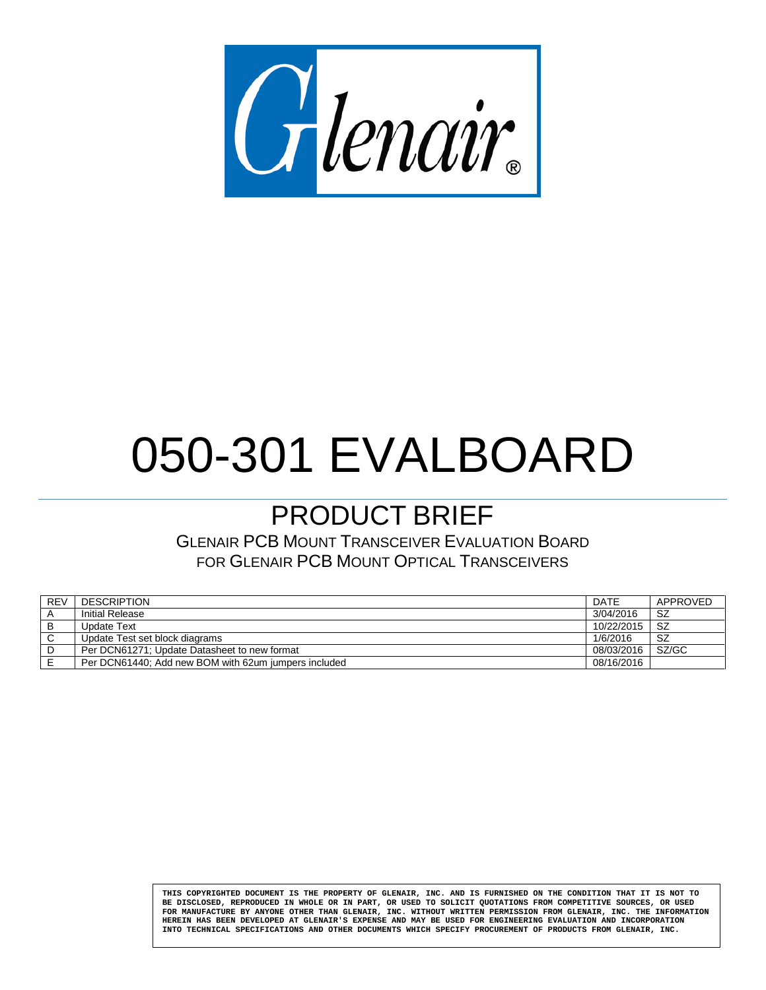

# 050-301 EVALBOARD

# PRODUCT BRIEF

GLENAIR PCB MOUNT TRANSCEIVER EVALUATION BOARD FOR GLENAIR PCB MOUNT OPTICAL TRANSCEIVERS

| <b>REV</b> | <b>DESCRIPTION</b>                                   | <b>DATE</b> | APPROVED |
|------------|------------------------------------------------------|-------------|----------|
|            | Initial Release                                      | 3/04/2016   | SZ       |
|            | Update Text                                          | 10/22/2015  | -SZ      |
|            | Update Test set block diagrams                       | 1/6/2016    | SZ       |
|            | Per DCN61271: Update Datasheet to new format         | 08/03/2016  | SZ/GC    |
|            | Per DCN61440: Add new BOM with 62um jumpers included | 08/16/2016  |          |

**THIS COPYRIGHTED DOCUMENT IS THE PROPERTY OF GLENAIR, INC. AND IS FURNISHED ON THE CONDITION THAT IT IS NOT TO BE DISCLOSED, REPRODUCED IN WHOLE OR IN PART, OR USED TO SOLICIT QUOTATIONS FROM COMPETITIVE SOURCES, OR USED FOR MANUFACTURE BY ANYONE OTHER THAN GLENAIR, INC. WITHOUT WRITTEN PERMISSION FROM GLENAIR, INC. THE INFORMATION HEREIN HAS BEEN DEVELOPED AT GLENAIR'S EXPENSE AND MAY BE USED FOR ENGINEERING EVALUATION AND INCORPORATION INTO TECHNICAL SPECIFICATIONS AND OTHER DOCUMENTS WHICH SPECIFY PROCUREMENT OF PRODUCTS FROM GLENAIR, INC.**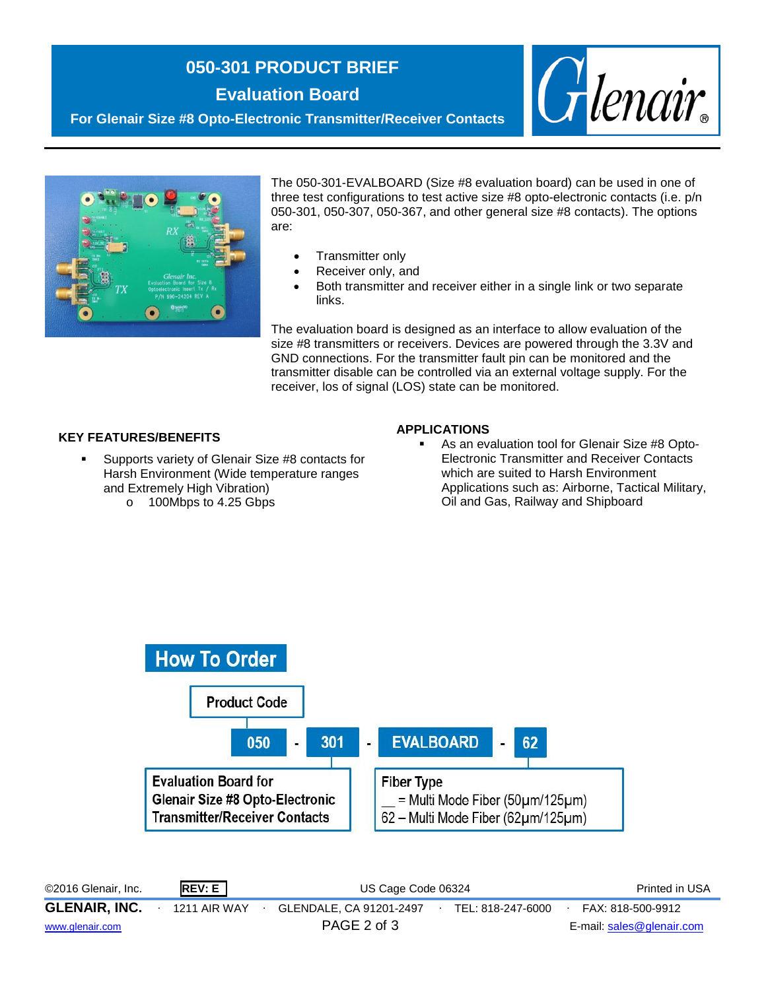# **050-301 PRODUCT BRIEF**

**Evaluation Board**



**For Glenair Size #8 Opto-Electronic Transmitter/Receiver Contacts**



The 050-301-EVALBOARD (Size #8 evaluation board) can be used in one of three test configurations to test active size #8 opto-electronic contacts (i.e. p/n 050-301, 050-307, 050-367, and other general size #8 contacts). The options are:

- Transmitter only
- Receiver only, and
- Both transmitter and receiver either in a single link or two separate links.

The evaluation board is designed as an interface to allow evaluation of the size #8 transmitters or receivers. Devices are powered through the 3.3V and GND connections. For the transmitter fault pin can be monitored and the transmitter disable can be controlled via an external voltage supply. For the receiver, los of signal (LOS) state can be monitored.

#### **KEY FEATURES/BENEFITS**

- Supports variety of Glenair Size #8 contacts for Harsh Environment (Wide temperature ranges and Extremely High Vibration)
	- o 100Mbps to 4.25 Gbps

#### **APPLICATIONS**

 As an evaluation tool for Glenair Size #8 Opto-Electronic Transmitter and Receiver Contacts which are suited to Harsh Environment Applications such as: Airborne, Tactical Military, Oil and Gas, Railway and Shipboard



©2016 Glenair, Inc. **REV: E** US Cage Code 06324 Printed in USA **GLENAIR, INC.** ∙ 1211 AIR WAY ∙ GLENDALE, CA 91201-2497∙ TEL: 818-247-6000∙ FAX: 818-500-9912 [www.glenair.com](http://www.glenair.com/) **PAGE 2 of 3** E-mail: [sales@glenair.com](mailto:sales@glenair.com)